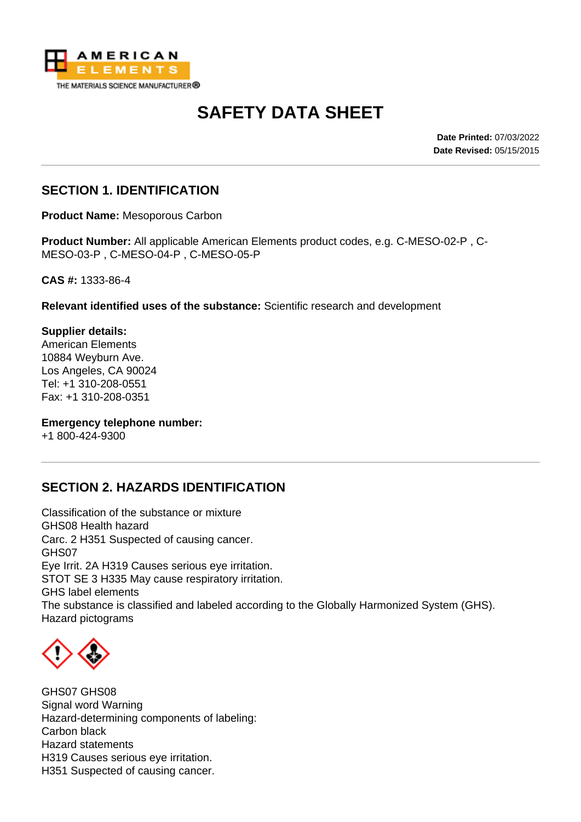

# **SAFETY DATA SHEET**

**Date Printed:** 07/03/2022 **Date Revised:** 05/15/2015

## **SECTION 1. IDENTIFICATION**

**Product Name:** Mesoporous Carbon

**Product Number:** All applicable American Elements product codes, e.g. C-MESO-02-P , C-MESO-03-P , C-MESO-04-P , C-MESO-05-P

**CAS #:** 1333-86-4

**Relevant identified uses of the substance:** Scientific research and development

**Supplier details:** American Elements 10884 Weyburn Ave. Los Angeles, CA 90024 Tel: +1 310-208-0551 Fax: +1 310-208-0351

**Emergency telephone number:**

+1 800-424-9300

#### **SECTION 2. HAZARDS IDENTIFICATION**

Classification of the substance or mixture GHS08 Health hazard Carc. 2 H351 Suspected of causing cancer. GHS07 Eye Irrit. 2A H319 Causes serious eye irritation. STOT SE 3 H335 May cause respiratory irritation. GHS label elements The substance is classified and labeled according to the Globally Harmonized System (GHS). Hazard pictograms



GHS07 GHS08 Signal word Warning Hazard-determining components of labeling: Carbon black Hazard statements H319 Causes serious eye irritation. H351 Suspected of causing cancer.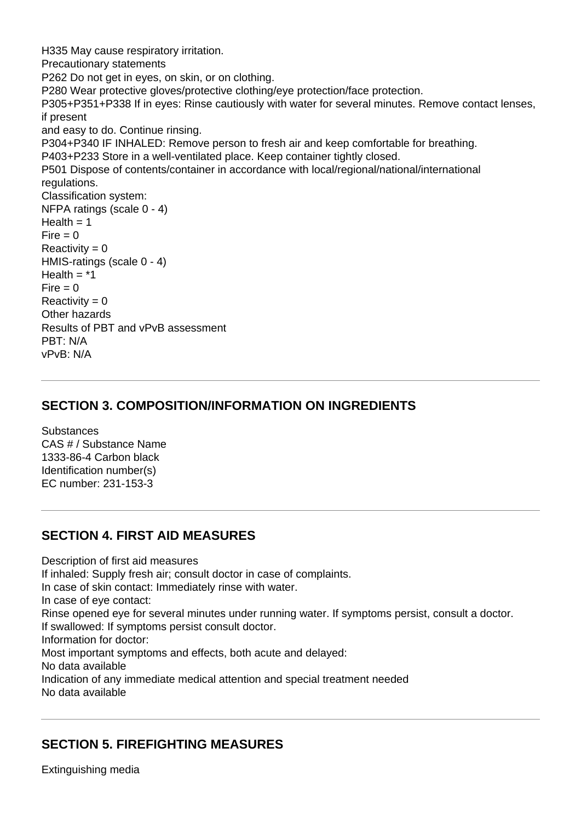H335 May cause respiratory irritation. Precautionary statements P262 Do not get in eyes, on skin, or on clothing. P280 Wear protective gloves/protective clothing/eye protection/face protection. P305+P351+P338 If in eyes: Rinse cautiously with water for several minutes. Remove contact lenses, if present and easy to do. Continue rinsing. P304+P340 IF INHALED: Remove person to fresh air and keep comfortable for breathing. P403+P233 Store in a well-ventilated place. Keep container tightly closed. P501 Dispose of contents/container in accordance with local/regional/national/international regulations. Classification system: NFPA ratings (scale 0 - 4)  $Health = 1$  $Fire = 0$  $Reactivity = 0$ HMIS-ratings (scale 0 - 4) Health  $=$   $*1$  $Fire = 0$  $Reactivity = 0$ Other hazards Results of PBT and vPvB assessment PBT: N/A vPvB: N/A

#### **SECTION 3. COMPOSITION/INFORMATION ON INGREDIENTS**

**Substances** CAS # / Substance Name 1333-86-4 Carbon black Identification number(s) EC number: 231-153-3

#### **SECTION 4. FIRST AID MEASURES**

Description of first aid measures

If inhaled: Supply fresh air; consult doctor in case of complaints.

In case of skin contact: Immediately rinse with water.

In case of eye contact:

Rinse opened eye for several minutes under running water. If symptoms persist, consult a doctor. If swallowed: If symptoms persist consult doctor.

Information for doctor:

Most important symptoms and effects, both acute and delayed:

No data available

Indication of any immediate medical attention and special treatment needed No data available

#### **SECTION 5. FIREFIGHTING MEASURES**

Extinguishing media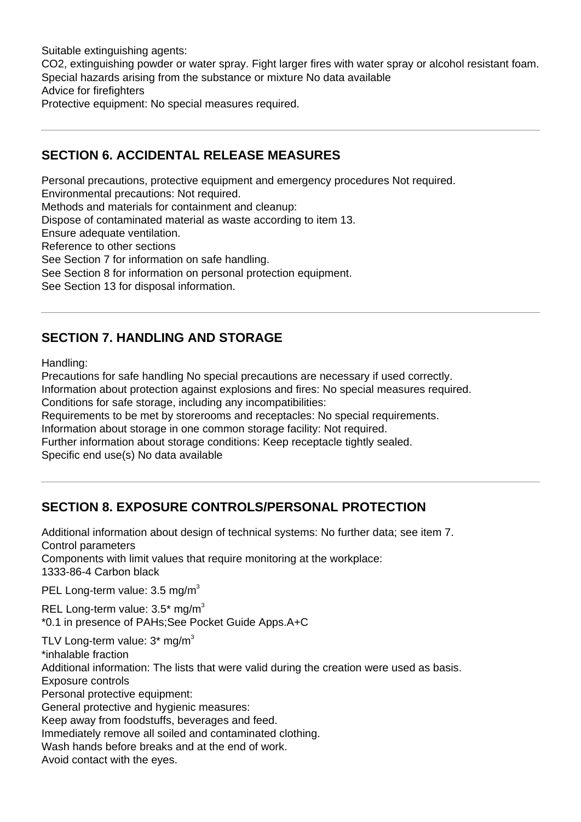Suitable extinguishing agents: CO2, extinguishing powder or water spray. Fight larger fires with water spray or alcohol resistant foam. Special hazards arising from the substance or mixture No data available Advice for firefighters Protective equipment: No special measures required.

## **SECTION 6. ACCIDENTAL RELEASE MEASURES**

Personal precautions, protective equipment and emergency procedures Not required.

Environmental precautions: Not required.

Methods and materials for containment and cleanup:

Dispose of contaminated material as waste according to item 13.

Ensure adequate ventilation.

Reference to other sections

See Section 7 for information on safe handling.

See Section 8 for information on personal protection equipment.

See Section 13 for disposal information.

# **SECTION 7. HANDLING AND STORAGE**

Handling:

Precautions for safe handling No special precautions are necessary if used correctly. Information about protection against explosions and fires: No special measures required. Conditions for safe storage, including any incompatibilities:

Requirements to be met by storerooms and receptacles: No special requirements.

Information about storage in one common storage facility: Not required.

Further information about storage conditions: Keep receptacle tightly sealed.

Specific end use(s) No data available

# **SECTION 8. EXPOSURE CONTROLS/PERSONAL PROTECTION**

Additional information about design of technical systems: No further data; see item 7. Control parameters Components with limit values that require monitoring at the workplace: 1333-86-4 Carbon black

PEL Long-term value: 3.5 mg/m<sup>3</sup>

REL Long-term value:  $3.5^*$  mg/m<sup>3</sup> \*0.1 in presence of PAHs;See Pocket Guide Apps.A+C

TLV Long-term value:  $3*$  mg/m<sup>3</sup> \*inhalable fraction Additional information: The lists that were valid during the creation were used as basis. Exposure controls Personal protective equipment: General protective and hygienic measures: Keep away from foodstuffs, beverages and feed. Immediately remove all soiled and contaminated clothing. Wash hands before breaks and at the end of work. Avoid contact with the eyes.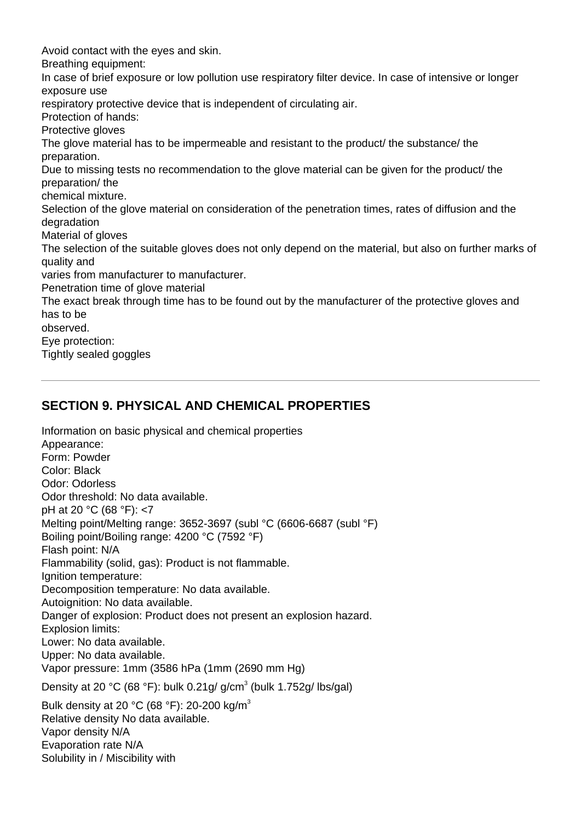Avoid contact with the eyes and skin. Breathing equipment: In case of brief exposure or low pollution use respiratory filter device. In case of intensive or longer exposure use respiratory protective device that is independent of circulating air. Protection of hands: Protective gloves The glove material has to be impermeable and resistant to the product/ the substance/ the preparation. Due to missing tests no recommendation to the glove material can be given for the product/ the preparation/ the chemical mixture. Selection of the glove material on consideration of the penetration times, rates of diffusion and the degradation Material of gloves The selection of the suitable gloves does not only depend on the material, but also on further marks of quality and varies from manufacturer to manufacturer. Penetration time of glove material The exact break through time has to be found out by the manufacturer of the protective gloves and has to be observed. Eye protection:

Tightly sealed goggles

# **SECTION 9. PHYSICAL AND CHEMICAL PROPERTIES**

Information on basic physical and chemical properties Appearance: Form: Powder Color: Black Odor: Odorless Odor threshold: No data available. pH at 20 °C (68 °F): <7 Melting point/Melting range: 3652-3697 (subl °C (6606-6687 (subl °F) Boiling point/Boiling range: 4200 °C (7592 °F) Flash point: N/A Flammability (solid, gas): Product is not flammable. Ignition temperature: Decomposition temperature: No data available. Autoignition: No data available. Danger of explosion: Product does not present an explosion hazard. Explosion limits: Lower: No data available. Upper: No data available. Vapor pressure: 1mm (3586 hPa (1mm (2690 mm Hg) Density at 20 °C (68 °F): bulk 0.21g/ g/cm<sup>3</sup> (bulk 1.752g/ lbs/gal) Bulk density at 20 °C (68 °F): 20-200 kg/m<sup>3</sup> Relative density No data available. Vapor density N/A Evaporation rate N/A

Solubility in / Miscibility with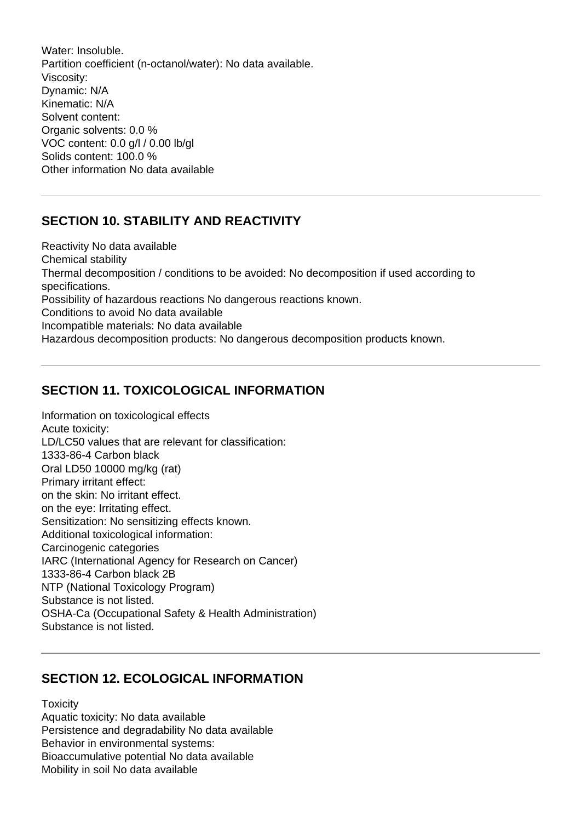Water: Insoluble. Partition coefficient (n-octanol/water): No data available. Viscosity: Dynamic: N/A Kinematic: N/A Solvent content: Organic solvents: 0.0 % VOC content: 0.0 g/l / 0.00 lb/gl Solids content: 100.0 % Other information No data available

# **SECTION 10. STABILITY AND REACTIVITY**

Reactivity No data available Chemical stability Thermal decomposition / conditions to be avoided: No decomposition if used according to specifications. Possibility of hazardous reactions No dangerous reactions known. Conditions to avoid No data available Incompatible materials: No data available Hazardous decomposition products: No dangerous decomposition products known.

# **SECTION 11. TOXICOLOGICAL INFORMATION**

Information on toxicological effects Acute toxicity: LD/LC50 values that are relevant for classification: 1333-86-4 Carbon black Oral LD50 10000 mg/kg (rat) Primary irritant effect: on the skin: No irritant effect. on the eye: Irritating effect. Sensitization: No sensitizing effects known. Additional toxicological information: Carcinogenic categories IARC (International Agency for Research on Cancer) 1333-86-4 Carbon black 2B NTP (National Toxicology Program) Substance is not listed. OSHA-Ca (Occupational Safety & Health Administration) Substance is not listed.

# **SECTION 12. ECOLOGICAL INFORMATION**

**Toxicity** 

Aquatic toxicity: No data available Persistence and degradability No data available Behavior in environmental systems: Bioaccumulative potential No data available Mobility in soil No data available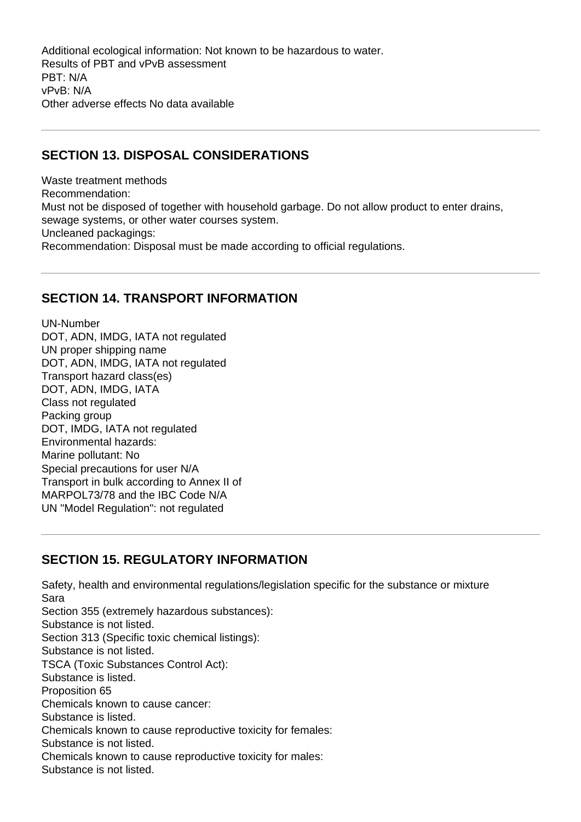Additional ecological information: Not known to be hazardous to water. Results of PBT and vPvB assessment PBT: N/A vPvB: N/A Other adverse effects No data available

# **SECTION 13. DISPOSAL CONSIDERATIONS**

Waste treatment methods Recommendation: Must not be disposed of together with household garbage. Do not allow product to enter drains, sewage systems, or other water courses system. Uncleaned packagings: Recommendation: Disposal must be made according to official regulations.

## **SECTION 14. TRANSPORT INFORMATION**

UN-Number DOT, ADN, IMDG, IATA not regulated UN proper shipping name DOT, ADN, IMDG, IATA not regulated Transport hazard class(es) DOT, ADN, IMDG, IATA Class not regulated Packing group DOT, IMDG, IATA not regulated Environmental hazards: Marine pollutant: No Special precautions for user N/A Transport in bulk according to Annex II of MARPOL73/78 and the IBC Code N/A UN "Model Regulation": not regulated

# **SECTION 15. REGULATORY INFORMATION**

Safety, health and environmental regulations/legislation specific for the substance or mixture Sara Section 355 (extremely hazardous substances): Substance is not listed. Section 313 (Specific toxic chemical listings): Substance is not listed. TSCA (Toxic Substances Control Act): Substance is listed. Proposition 65 Chemicals known to cause cancer: Substance is listed. Chemicals known to cause reproductive toxicity for females: Substance is not listed. Chemicals known to cause reproductive toxicity for males: Substance is not listed.